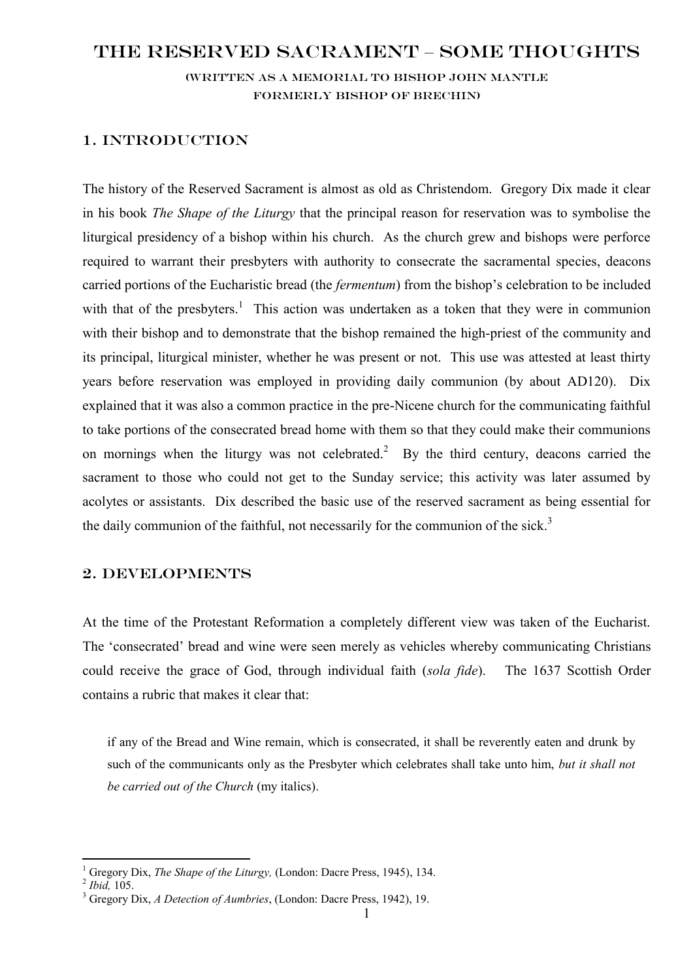# The Reserved Sacrament – some thoughts

(Written as a memorial to Bishop John Mantle formerly bishop of brechin)

### 1. Introduction

The history of the Reserved Sacrament is almost as old as Christendom. Gregory Dix made it clear in his book *The Shape of the Liturgy* that the principal reason for reservation was to symbolise the liturgical presidency of a bishop within his church. As the church grew and bishops were perforce required to warrant their presbyters with authority to consecrate the sacramental species, deacons carried portions of the Eucharistic bread (the *fermentum*) from the bishop's celebration to be included with that of the presbyters.<sup>1</sup> This action was undertaken as a token that they were in communion with their bishop and to demonstrate that the bishop remained the high-priest of the community and its principal, liturgical minister, whether he was present or not. This use was attested at least thirty years before reservation was employed in providing daily communion (by about AD120). Dix explained that it was also a common practice in the pre-Nicene church for the communicating faithful to take portions of the consecrated bread home with them so that they could make their communions on mornings when the liturgy was not celebrated.<sup>2</sup> By the third century, deacons carried the sacrament to those who could not get to the Sunday service; this activity was later assumed by acolytes or assistants. Dix described the basic use of the reserved sacrament as being essential for the daily communion of the faithful, not necessarily for the communion of the sick.<sup>3</sup>

### 2. Developments

At the time of the Protestant Reformation a completely different view was taken of the Eucharist. The 'consecrated' bread and wine were seen merely as vehicles whereby communicating Christians could receive the grace of God, through individual faith (*sola fide*). The 1637 Scottish Order contains a rubric that makes it clear that:

if any of the Bread and Wine remain, which is consecrated, it shall be reverently eaten and drunk by such of the communicants only as the Presbyter which celebrates shall take unto him, *but it shall not be carried out of the Church* (my italics).

 $\overline{a}$ 

<sup>1</sup> Gregory Dix, *The Shape of the Liturgy,* (London: Dacre Press, 1945), 134.

<sup>2</sup> *Ibid,* 105.

<sup>3</sup> Gregory Dix, *A Detection of Aumbries*, (London: Dacre Press, 1942), 19.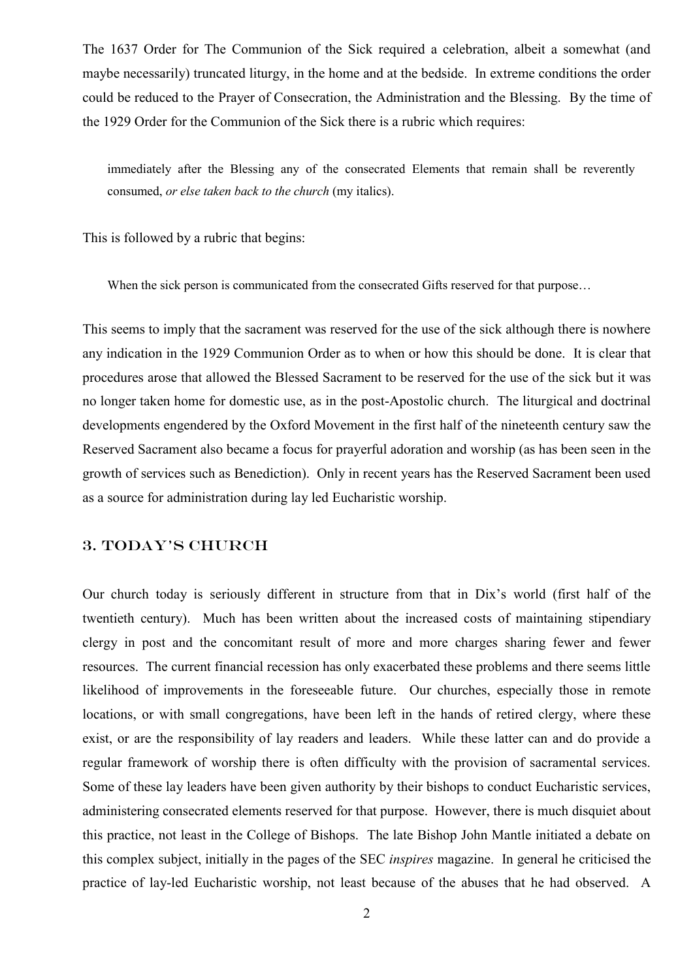The 1637 Order for The Communion of the Sick required a celebration, albeit a somewhat (and maybe necessarily) truncated liturgy, in the home and at the bedside. In extreme conditions the order could be reduced to the Prayer of Consecration, the Administration and the Blessing. By the time of the 1929 Order for the Communion of the Sick there is a rubric which requires:

immediately after the Blessing any of the consecrated Elements that remain shall be reverently consumed, *or else taken back to the church* (my italics).

This is followed by a rubric that begins:

When the sick person is communicated from the consecrated Gifts reserved for that purpose...

This seems to imply that the sacrament was reserved for the use of the sick although there is nowhere any indication in the 1929 Communion Order as to when or how this should be done. It is clear that procedures arose that allowed the Blessed Sacrament to be reserved for the use of the sick but it was no longer taken home for domestic use, as in the post-Apostolic church. The liturgical and doctrinal developments engendered by the Oxford Movement in the first half of the nineteenth century saw the Reserved Sacrament also became a focus for prayerful adoration and worship (as has been seen in the growth of services such as Benediction). Only in recent years has the Reserved Sacrament been used as a source for administration during lay led Eucharistic worship.

## 3. Today's church

Our church today is seriously different in structure from that in Dix's world (first half of the twentieth century). Much has been written about the increased costs of maintaining stipendiary clergy in post and the concomitant result of more and more charges sharing fewer and fewer resources. The current financial recession has only exacerbated these problems and there seems little likelihood of improvements in the foreseeable future. Our churches, especially those in remote locations, or with small congregations, have been left in the hands of retired clergy, where these exist, or are the responsibility of lay readers and leaders. While these latter can and do provide a regular framework of worship there is often difficulty with the provision of sacramental services. Some of these lay leaders have been given authority by their bishops to conduct Eucharistic services, administering consecrated elements reserved for that purpose. However, there is much disquiet about this practice, not least in the College of Bishops. The late Bishop John Mantle initiated a debate on this complex subject, initially in the pages of the SEC *inspires* magazine. In general he criticised the practice of lay-led Eucharistic worship, not least because of the abuses that he had observed. A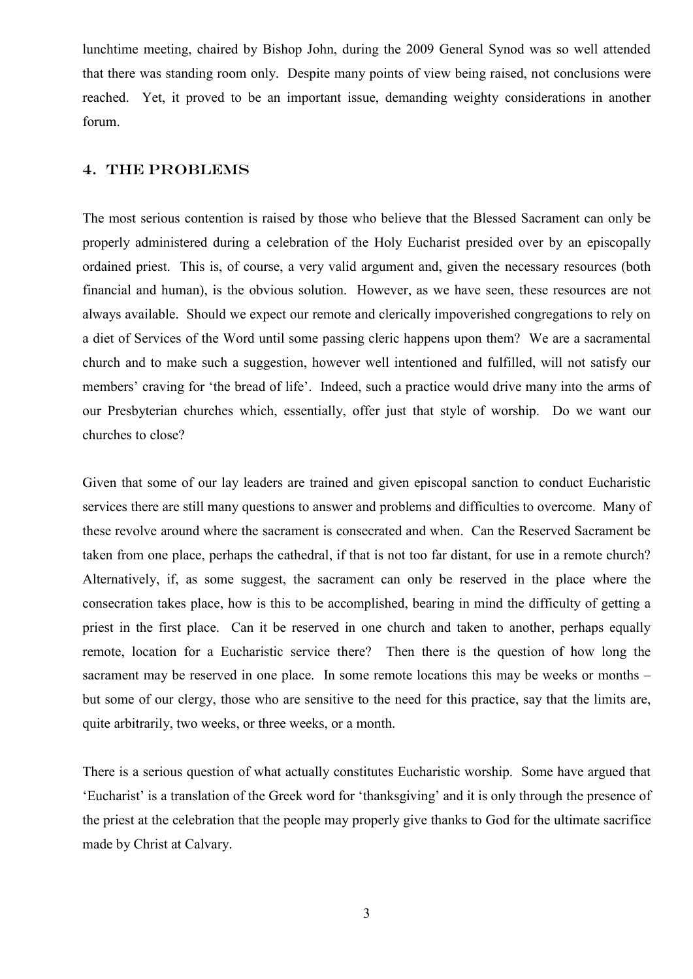lunchtime meeting, chaired by Bishop John, during the 2009 General Synod was so well attended that there was standing room only. Despite many points of view being raised, not conclusions were reached. Yet, it proved to be an important issue, demanding weighty considerations in another forum.

#### 4. The problems

The most serious contention is raised by those who believe that the Blessed Sacrament can only be properly administered during a celebration of the Holy Eucharist presided over by an episcopally ordained priest. This is, of course, a very valid argument and, given the necessary resources (both financial and human), is the obvious solution. However, as we have seen, these resources are not always available. Should we expect our remote and clerically impoverished congregations to rely on a diet of Services of the Word until some passing cleric happens upon them? We are a sacramental church and to make such a suggestion, however well intentioned and fulfilled, will not satisfy our members' craving for 'the bread of life'. Indeed, such a practice would drive many into the arms of our Presbyterian churches which, essentially, offer just that style of worship. Do we want our churches to close?

Given that some of our lay leaders are trained and given episcopal sanction to conduct Eucharistic services there are still many questions to answer and problems and difficulties to overcome. Many of these revolve around where the sacrament is consecrated and when. Can the Reserved Sacrament be taken from one place, perhaps the cathedral, if that is not too far distant, for use in a remote church? Alternatively, if, as some suggest, the sacrament can only be reserved in the place where the consecration takes place, how is this to be accomplished, bearing in mind the difficulty of getting a priest in the first place. Can it be reserved in one church and taken to another, perhaps equally remote, location for a Eucharistic service there? Then there is the question of how long the sacrament may be reserved in one place. In some remote locations this may be weeks or months – but some of our clergy, those who are sensitive to the need for this practice, say that the limits are, quite arbitrarily, two weeks, or three weeks, or a month.

There is a serious question of what actually constitutes Eucharistic worship. Some have argued that 'Eucharist' is a translation of the Greek word for 'thanksgiving' and it is only through the presence of the priest at the celebration that the people may properly give thanks to God for the ultimate sacrifice made by Christ at Calvary.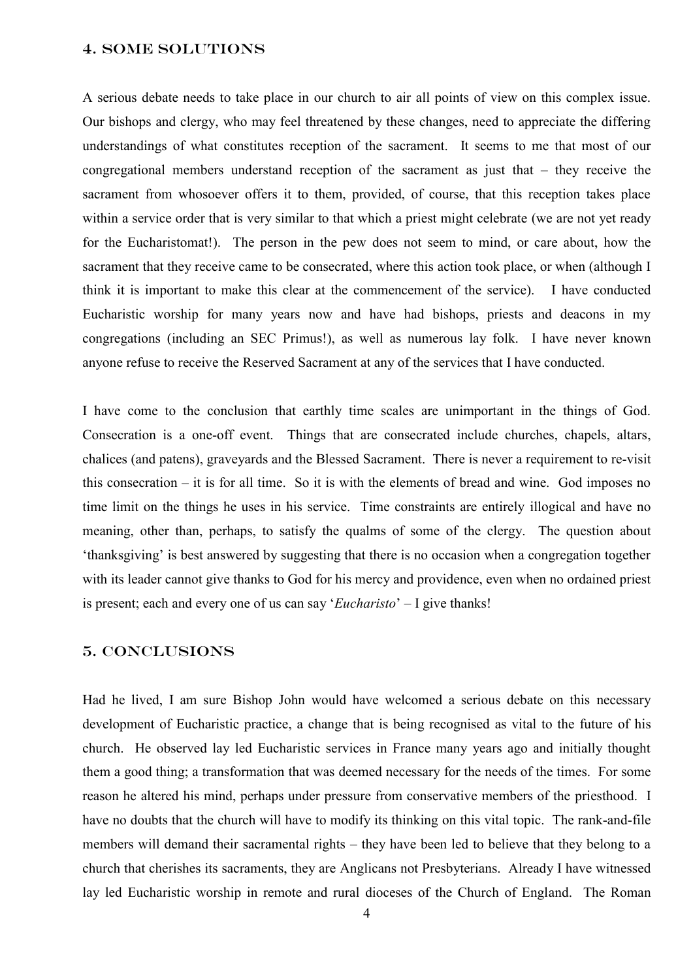#### 4. Some solutions

A serious debate needs to take place in our church to air all points of view on this complex issue. Our bishops and clergy, who may feel threatened by these changes, need to appreciate the differing understandings of what constitutes reception of the sacrament. It seems to me that most of our congregational members understand reception of the sacrament as just that – they receive the sacrament from whosoever offers it to them, provided, of course, that this reception takes place within a service order that is very similar to that which a priest might celebrate (we are not yet ready for the Eucharistomat!). The person in the pew does not seem to mind, or care about, how the sacrament that they receive came to be consecrated, where this action took place, or when (although I think it is important to make this clear at the commencement of the service). I have conducted Eucharistic worship for many years now and have had bishops, priests and deacons in my congregations (including an SEC Primus!), as well as numerous lay folk. I have never known anyone refuse to receive the Reserved Sacrament at any of the services that I have conducted.

I have come to the conclusion that earthly time scales are unimportant in the things of God. Consecration is a one-off event. Things that are consecrated include churches, chapels, altars, chalices (and patens), graveyards and the Blessed Sacrament. There is never a requirement to re-visit this consecration – it is for all time. So it is with the elements of bread and wine. God imposes no time limit on the things he uses in his service. Time constraints are entirely illogical and have no meaning, other than, perhaps, to satisfy the qualms of some of the clergy. The question about 'thanksgiving' is best answered by suggesting that there is no occasion when a congregation together with its leader cannot give thanks to God for his mercy and providence, even when no ordained priest is present; each and every one of us can say '*Eucharisto*' – I give thanks!

### 5. conclusions

Had he lived, I am sure Bishop John would have welcomed a serious debate on this necessary development of Eucharistic practice, a change that is being recognised as vital to the future of his church. He observed lay led Eucharistic services in France many years ago and initially thought them a good thing; a transformation that was deemed necessary for the needs of the times. For some reason he altered his mind, perhaps under pressure from conservative members of the priesthood. I have no doubts that the church will have to modify its thinking on this vital topic. The rank-and-file members will demand their sacramental rights – they have been led to believe that they belong to a church that cherishes its sacraments, they are Anglicans not Presbyterians. Already I have witnessed lay led Eucharistic worship in remote and rural dioceses of the Church of England. The Roman